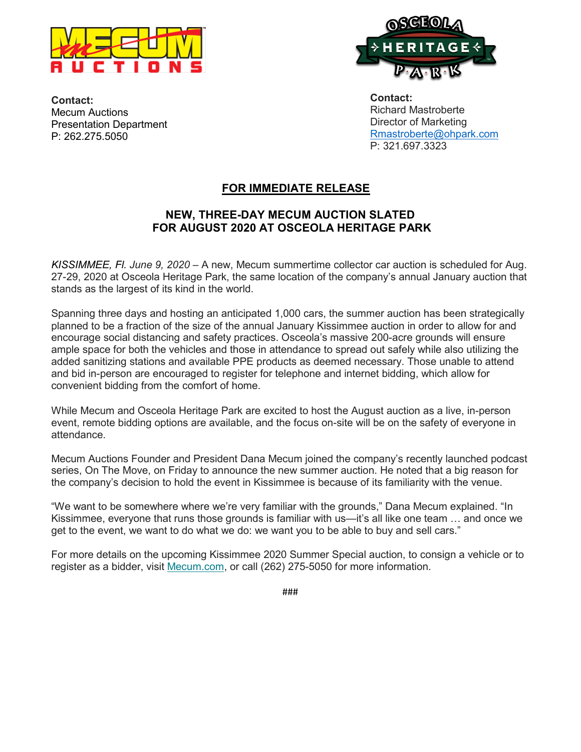



**Contact:** Mecum Auctions Presentation Department P: 262.275.5050

**Contact:** Richard Mastroberte Director of Marketing Rmastroberte@ohpark.com P: 321.697.3323

## **FOR IMMEDIATE RELEASE**

## **NEW, THREE-DAY MECUM AUCTION SLATED FOR AUGUST 2020 AT OSCEOLA HERITAGE PARK**

*KISSIMMEE, Fl. June 9, 2020* – A new, Mecum summertime collector car auction is scheduled for Aug. 27-29, 2020 at Osceola Heritage Park, the same location of the company's annual January auction that stands as the largest of its kind in the world.

Spanning three days and hosting an anticipated 1,000 cars, the summer auction has been strategically planned to be a fraction of the size of the annual January Kissimmee auction in order to allow for and encourage social distancing and safety practices. Osceola's massive 200-acre grounds will ensure ample space for both the vehicles and those in attendance to spread out safely while also utilizing the added sanitizing stations and available PPE products as deemed necessary. Those unable to attend and bid in-person are encouraged to register for telephone and internet bidding, which allow for convenient bidding from the comfort of home.

While Mecum and Osceola Heritage Park are excited to host the August auction as a live, in-person event, remote bidding options are available, and the focus on-site will be on the safety of everyone in attendance.

Mecum Auctions Founder and President Dana Mecum joined the company's recently launched podcast series, On The Move, on Friday to announce the new summer auction. He noted that a big reason for the company's decision to hold the event in Kissimmee is because of its familiarity with the venue.

"We want to be somewhere where we're very familiar with the grounds," Dana Mecum explained. "In Kissimmee, everyone that runs those grounds is familiar with us—it's all like one team … and once we get to the event, we want to do what we do: we want you to be able to buy and sell cars."

For more details on the upcoming Kissimmee 2020 Summer Special auction, to consign a vehicle or to register as a bidder, visit [Mecum.com,](https://gcc02.safelinks.protection.outlook.com/?url=https%3A%2F%2Fmecum.us5.list-manage.com%2Ftrack%2Fclick%3Fu%3Ddb3f33528e1496a2ba58ad3c9%26id%3D12bb15fb75%26e%3D1de0211e8b&data=02%7C01%7Crmastroberte%40ohpark.com%7C035ceb6371bd484fc00708d80c85c579%7C230b707965fa472b8bab9e63a02259f1%7C0%7C0%7C637273115982461666&sdata=2ePrRtSCbYM%2FG6QPccr7FrC6ltsSiDnjs8P%2By12oO4Q%3D&reserved=0) or call (262) 275-5050 for more information.

###